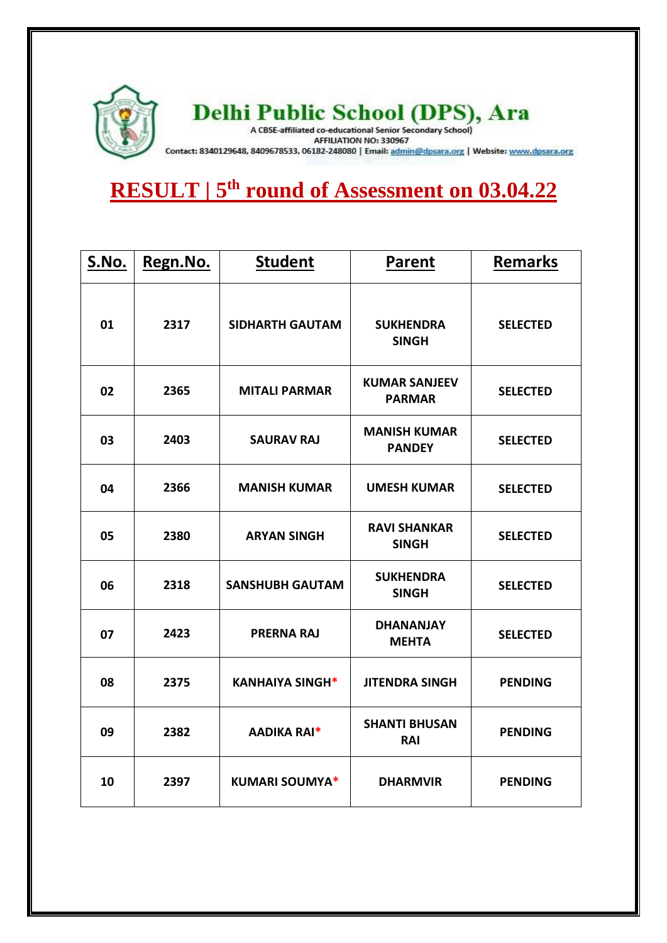

## Delhi Public School (DPS), Ara

Contact: 8340129648, 8409678533, 06182-248080 | Email: admin@dpsara.org | Website: www.dpsara.org

## **RESULT | 5 th round of Assessment on 03.04.22**

| S.No. | Regn.No. | <b>Student</b>         | <b>Parent</b>                         | <b>Remarks</b>  |
|-------|----------|------------------------|---------------------------------------|-----------------|
| 01    | 2317     | <b>SIDHARTH GAUTAM</b> | <b>SUKHENDRA</b><br><b>SINGH</b>      | <b>SELECTED</b> |
| 02    | 2365     | <b>MITALI PARMAR</b>   | <b>KUMAR SANJEEV</b><br><b>PARMAR</b> | <b>SELECTED</b> |
| 03    | 2403     | <b>SAURAV RAJ</b>      | <b>MANISH KUMAR</b><br><b>PANDEY</b>  | <b>SELECTED</b> |
| 04    | 2366     | <b>MANISH KUMAR</b>    | <b>UMESH KUMAR</b>                    | <b>SELECTED</b> |
| 05    | 2380     | <b>ARYAN SINGH</b>     | <b>RAVI SHANKAR</b><br><b>SINGH</b>   | <b>SELECTED</b> |
| 06    | 2318     | <b>SANSHUBH GAUTAM</b> | <b>SUKHENDRA</b><br><b>SINGH</b>      | <b>SELECTED</b> |
| 07    | 2423     | <b>PRERNA RAJ</b>      | <b>DHANANJAY</b><br><b>MEHTA</b>      | <b>SELECTED</b> |
| 08    | 2375     | <b>KANHAIYA SINGH*</b> | <b>JITENDRA SINGH</b>                 | <b>PENDING</b>  |
| 09    | 2382     | <b>AADIKA RAI*</b>     | <b>SHANTI BHUSAN</b><br><b>RAI</b>    | <b>PENDING</b>  |
| 10    | 2397     | <b>KUMARI SOUMYA*</b>  | <b>DHARMVIR</b>                       | <b>PENDING</b>  |